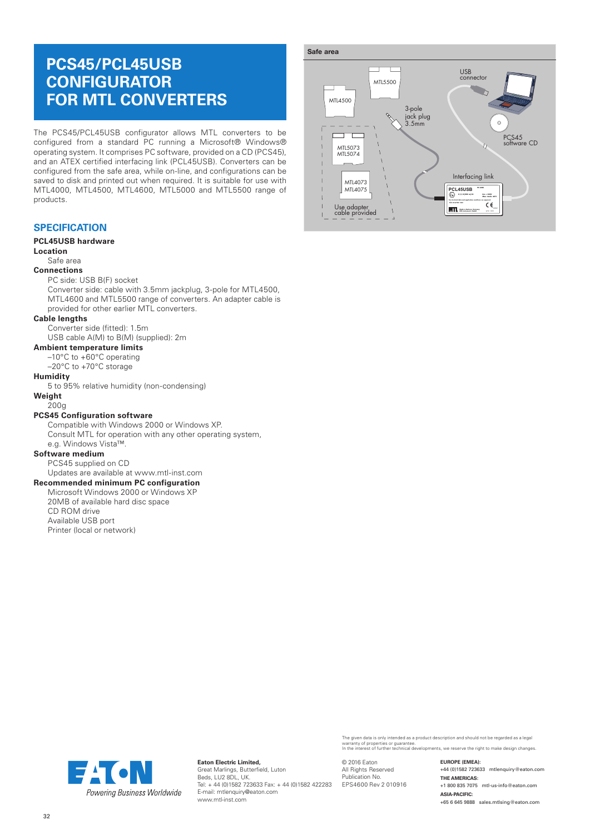# **PCS45/PCL45USB CONFIGURATOR FOR MTL CONVERTERS**

The PCS45/PCL45USB configurator allows MTL converters to be configured from a standard PC running a Microsoft® Windows® operating system. It comprises PC software, provided on a CD (PCS45), and an ATEX certified interfacing link (PCL45USB). Converters can be configured from the safe area, while on-line, and configurations can be saved to disk and printed out when required. It is suitable for use with MTL4000, MTL4500, MTL4600, MTL5000 and MTL5500 range of products.

#### **SPECIFICATION**

#### **PCL45USB hardware**

#### **Location**

#### Safe area

#### **Connections**

#### PC side: USB B(F) socket

Converter side: cable with 3.5mm jackplug, 3-pole for MTL4500, MTL4600 and MTL5500 range of converters. An adapter cable is provided for other earlier MTL converters.

#### **Cable lengths**

Converter side (fitted): 1.5m USB cable A(M) to B(M) (supplied): 2m

### **Ambient temperature limits**

- –10°C to +60°C operating
- –20°C to +70°C storage

#### **Humidity**

5 to 95% relative humidity (non-condensing)

### **Weight**

#### 200g

#### **PCS45 Configuration software**

Compatible with Windows 2000 or Windows XP. Consult MTL for operation with any other operating system, e.g. Windows Vista™.

#### **Software medium**

PCS45 supplied on CD

## Updates are available at www.mtl-inst.com

**Recommended minimum PC configuration** Microsoft Windows 2000 or Windows XP 20MB of available hard disc space

CD ROM drive Available USB port

Printer (local or network)



The given data is only intended as a product description and should not be regarded as a legal<br>warranty of properties or guarantee.<br>In the interest of further technical developments, we reserve the right to make design cha

© 2016 Eaton All Rights Reserved Publication No. EPS4600 Rev 2 010916 **EUROPE (EMEA):**  +44 (0)1582 723633 mtlenquiry@eaton.com **THE AMERICAS:** +1 800 835 7075 mtl-us-info@eaton.com **ASIA-PACIFIC:**  +65 6 645 9888 sales.mtlsing@eaton.com



**Eaton Electric Limited,** Great Marlings, Butterfield, Luton Beds, LU2 8DL, UK. Tel: + 44 (0)1582 723633 Fax: + 44 (0)1582 422283 E-mail: mtlenquiry@eaton.com www.mtl-inst.com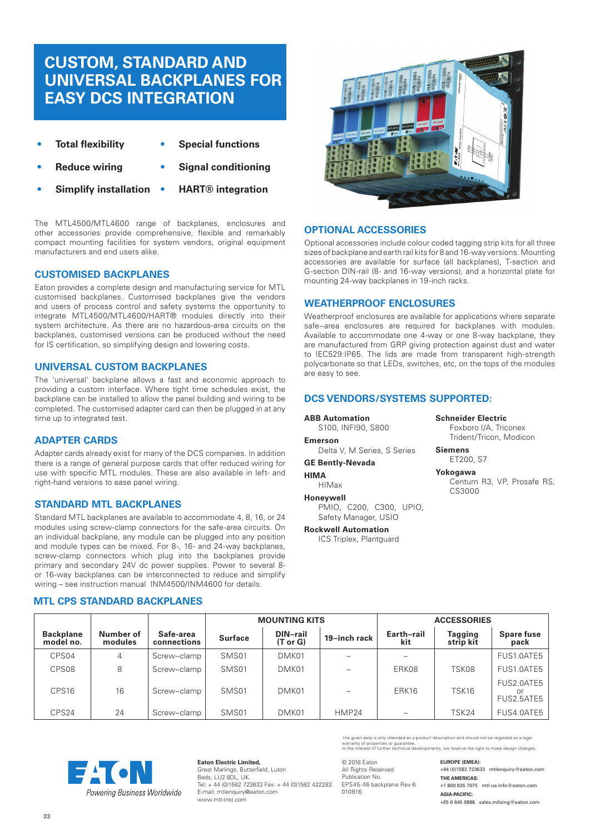# **CUSTOM, STANDARD AND UNIVERSAL BACKPLANES FOR EASY DCS INTEGRATION**

- **• Total flexibility • Special functions**
- **• Reduce wiring • Signal conditioning**
	-
- **• Simplify installation • HART® integration**

The MTL4500/MTL4600 range of backplanes, enclosures and other accessories provide comprehensive, flexible and remarkably compact mounting facilities for system vendors, original equipment manufacturers and end users alike.

#### **CUSTOMISED BACKPLANES**

Eaton provides a complete design and manufacturing service for MTL customised backplanes. Customised backplanes give the vendors and users of process control and safety systems the opportunity to integrate MTL4500/MTL4600/HART® modules directly into their system architecture. As there are no hazardous-area circuits on the backplanes, customised versions can be produced without the need for IS certification, so simplifying design and lowering costs.

#### **UNIVERSAL CUSTOM BACKPLANES**

The 'universal' backplane allows a fast and economic approach to providing a custom interface. Where tight time schedules exist, the backplane can be installed to allow the panel building and wiring to be completed. The customised adapter card can then be plugged in at any time up to integrated test.

#### **ADAPTER CARDS**

Adapter cards already exist for many of the DCS companies. In addition there is a range of general purpose cards that offer reduced wiring for use with specific MTL modules. These are also available in left- and right-hand versions to ease panel wiring.

#### **STANDARD MTL BACKPLANES**

Standard MTL backplanes are available to accommodate 4, 8, 16, or 24 modules using screw-clamp connectors for the safe-area circuits. On an individual backplane, any module can be plugged into any position and module types can be mixed. For 8-, 16- and 24-way backplanes, screw-clamp connectors which plug into the backplanes provide primary and secondary 24V dc power supplies. Power to several 8 or 16-way backplanes can be interconnected to reduce and simplify wiring – see instruction manual INM4500/INM4600 for details.

#### **MTL CPS STANDARD BACKPLANES**



#### **OPTIONAL ACCESSORIES**

Optional accessories include colour coded tagging strip kits for all three sizes of backplane and earth rail kits for 8 and 16-way versions. Mounting accessories are available for surface (all backplanes), T-section and G-section DIN-rail (8- and 16-way versions), and a horizontal plate for mounting 24-way backplanes in 19-inch racks.

#### **WEATHERPROOF ENCLOSURES**

Weatherproof enclosures are available for applications where separate safe–area enclosures are required for backplanes with modules. Available to accommodate one 4-way or one 8-way backplane, they are manufactured from GRP giving protection against dust and water to IEC529:IP65. The lids are made from transparent high-strength polycarbonate so that LEDs, switches, etc, on the tops of the modules are easy to see.

#### **DCS VENDORS/SYSTEMS SUPPORTED:**

**ABB Automation**

S100, INFI90, S800 **Emerson** Delta V, M Series, S Series

**GE Bently-Nevada HIMA**

#### HIMax

**Honeywell**

PMIO, C200, C300, UPIO, Safety Manager, USIO

**Rockwell Automation**

ICS Triplex, Plantguard

## **Schneider Electric**

Foxboro I/A, Triconex Trident/Tricon, Modicon

**Siemens** ET200, S7

**Yokogawa** Centum R3, VP, Prosafe RS, CS3000

**MOUNTING KITS ACCESSORIES Backplane model no. Number of modules Safe-area connections Surface DIN–rail (T or G) 19–inch rack Earth–rail kit Tagging strip kit Spare fuse pack** CPS04 | 4 |Screw–clamp | SMS01 | DMK01 | – | – | – | FUS1.0ATE5 CPS08 | 8 |Screw–clamp | SMS01 | DMK01 | - | ERK08 | TSK08 |FUS1.0ATE5 CPS16 | 16 |Screw–clamp | SMS01 | DMK01 | - | ERK16 | TSK16 FUS2.0ATE5 or FUS2.5ATE5 CPS24 | 24 |Screw–clamp | SMS01 | DMK01 | HMP24 | – | TSK24 |FUS4.0ATE5



**Eaton Electric Limited,** Great Marlings, Butterfield, Luton Beds, LU2 8DL, UK. Tel: + 44 (0)1582 723633 Fax: + 44 (0)1582 422283 E-mail: mtlenquiry@eaton.com www.mtl-inst.com

© 2016 Eaton All Rights Reserved Publication No. EPS45-46 backplane Rev 6 010916

The given data is only intended as a product description and should not be regarded as a legal<br>warranty of properties or guarantee.<br>In the interest of further technical developments, we reserve the right to make design cha

**EUROPE (EMEA):**  +44 (0)1582 723633 mtlenquiry@eaton.com **THE AMERICAS:** +1 800 835 7075 mtl-us-info@eaton.com **ASIA-PACIFIC:**  +65 6 645 9888 sales.mtlsing@eaton.com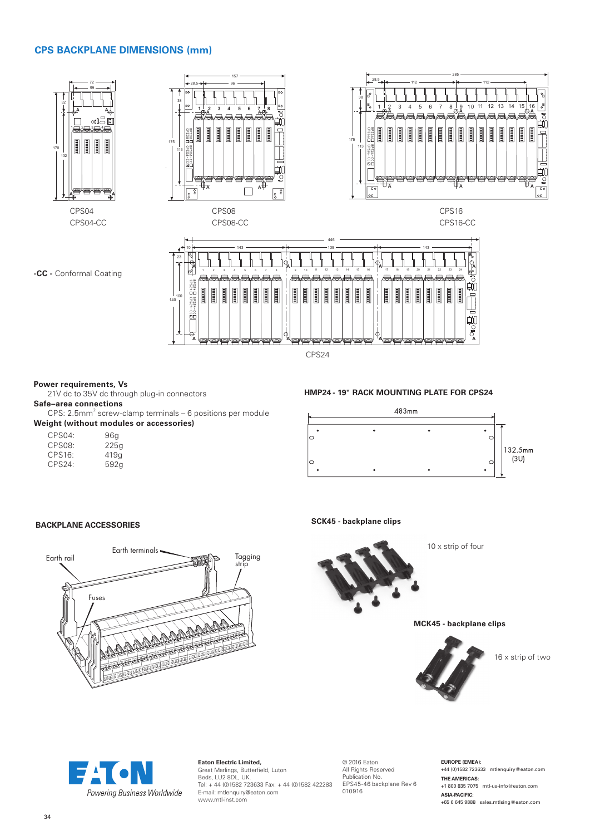#### **CPS BACKPLANE DIMENSIONS (mm)**



CPS24

#### **Power requirements, Vs**

21V dc to 35V dc through plug-in connectors

#### **Safe–area connections**

 $CPS: 2.5mm<sup>2</sup>$  screw-clamp terminals – 6 positions per module **Weight (without modules or accessories)**

| CPS04: | 96q  |
|--------|------|
| CPS08: | 225g |
| CPS16: | 419a |
| CPS24: | 592g |

#### **HMP24 - 19" RACK MOUNTING PLATE FOR CPS24**



#### **BACKPLANE ACCESSORIES**



**SCK45 - backplane clips** 



10 x strip of four

**MCK45 - backplane clips** 



16 x strip of two



#### **Eaton Electric Limited,** Great Marlings, Butterfield, Luton Beds, LU2 8DL, UK. Tel: + 44 (0)1582 723633 Fax: + 44 (0)1582 422283 E-mail: mtlenquiry@eaton.com www.mtl-inst.com

© 2016 Eaton All Rights Reserved Publication No. EPS45-46 backplane Rev 6 010916

**EUROPE (EMEA):**  +44 (0)1582 723633 mtlenquiry@eaton.com **THE AMERICAS:** +1 800 835 7075 mtl-us-info@eaton.com **ASIA-PACIFIC:**  +65 6 645 9888 sales.mtlsing@eaton.com